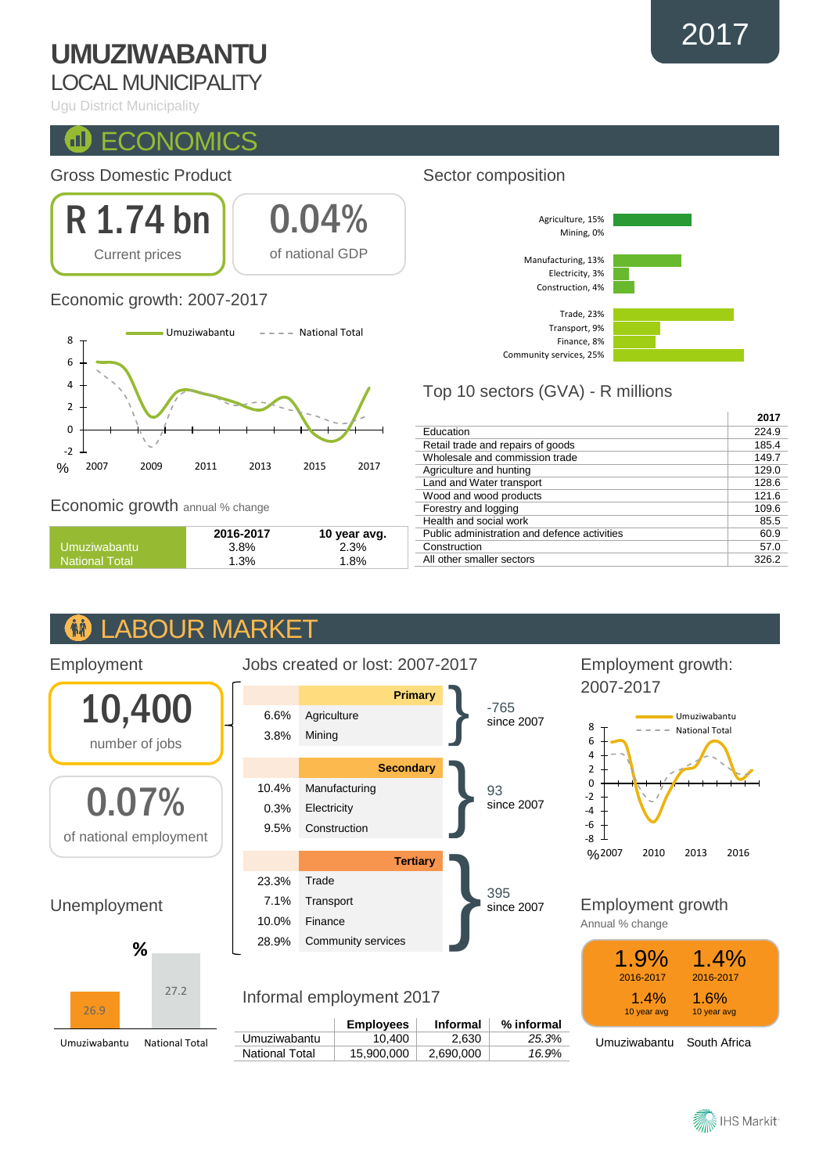# **UMUZIWABANTU**

## LOCAL MUNICIPALITY

Ugu District Municipality

#### $\blacksquare$ **ECONOMICS**

### Gross Domestic Product



### Economic growth: 2007-2017



Economic growth annual % change

Employment

10,400

number of jobs

0.07%

of national employment

Unemployment

26.9

Umuziwabantu National Total

**%**

|                       | 2016-2017 | 10 year avg. |
|-----------------------|-----------|--------------|
| Umuziwabantu          | 3.8%      | 2.3%         |
| <b>National Total</b> | 1.3%      | 1.8%         |

#### **ABOUR MARKET AA**

27.2

### Jobs created or lost: 2007-2017 **Primary** } -765 since 2007 6.6% Agriculture 3.8% Mining **Secondary** 93 since 2007 10.4% Manufacturing 0.3% Electricity 9.5% Construction Tertiary<br>es 395 since 2007 23.3% Trade 7.1% Transport 10.0% Finance

## Informal employment 2017

28.9% Community services

|                | <b>Employees</b> | <b>Informal</b> | % informal |
|----------------|------------------|-----------------|------------|
| Umuziwabantu   | 10.400           | 2.630           | 25.3%      |
| National Total | 15.900.000       | 2,690,000       | 16.9%      |
|                |                  |                 |            |

### Sector composition



## Top 10 sectors (GVA) - R millions

| 2017  |
|-------|
| 224.9 |
| 185.4 |
| 149.7 |
| 129.0 |
| 128.6 |
| 121.6 |
| 109.6 |
| 85.5  |
| 60.9  |
| 57.0  |
| 326.2 |
|       |

### Employment growth: 2007-2017



Employment growth

Annual % change



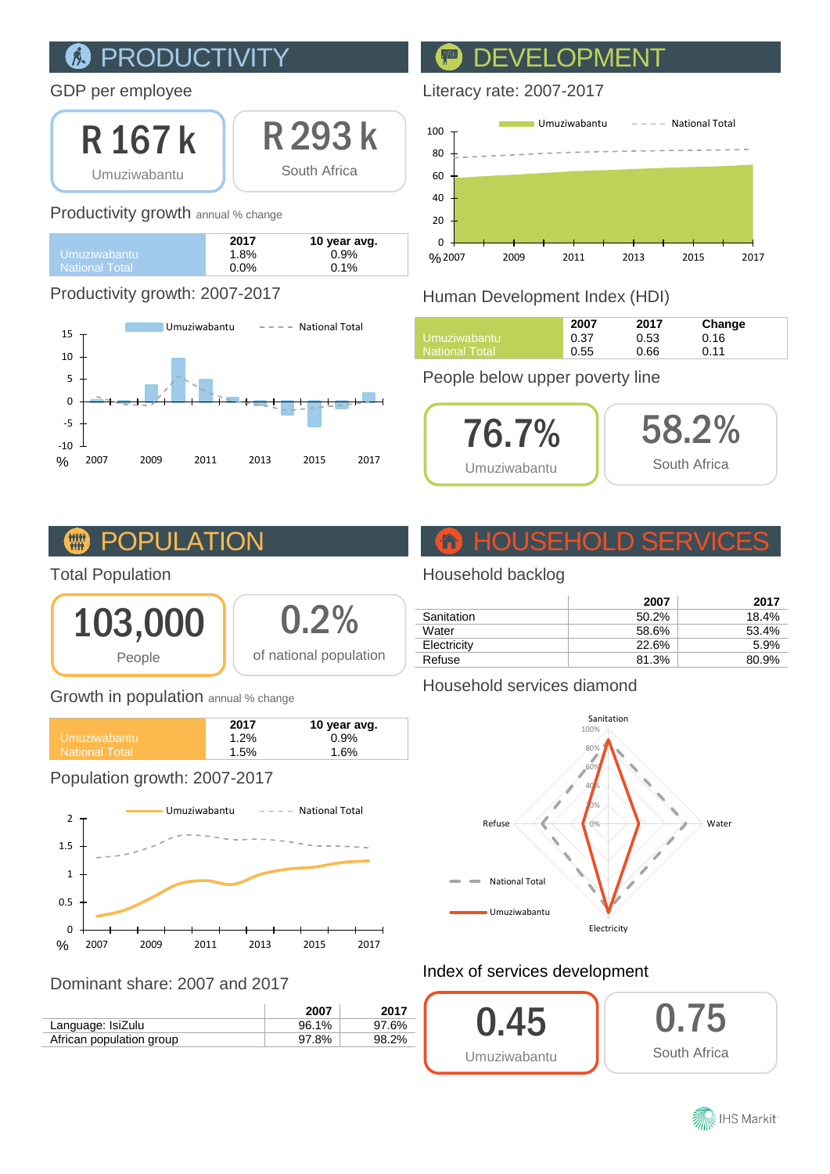### PRODUCTIVI 原

### GDP per employee

R 167 k Umuziwabantu

R 293 k South Africa

### Productivity growth annual % change

|                       | 2017    | 10 year avg. |
|-----------------------|---------|--------------|
| Umuziwabantu          | 1.8%    | 0.9%         |
| <b>National Total</b> | $0.0\%$ | $0.1\%$      |

### Productivity growth: 2007-2017



## DEVELOPM

### Literacy rate: 2007-2017



## Human Development Index (HDI)

|                | 2007 | 2017 | Change |
|----------------|------|------|--------|
| Umuziwabantu i | 0.37 | 0.53 | 0.16   |
| National Total | 0.55 | 0.66 | 0.11   |

### People below upper poverty line



#### **TITLE PUL**

### Total Population



| 0.2%                   |
|------------------------|
| of national population |

### Growth in population annual % change

|                    | 2017    | 10 year avg. |
|--------------------|---------|--------------|
| Umuziwabantu       | $1.2\%$ | 0.9%         |
| l National Total ' | 1.5%    | 1.6%         |
|                    |         |              |

### Population growth: 2007-2017



### Dominant share: 2007 and 2017

|                          | 2007  | 2017  |
|--------------------------|-------|-------|
| Language: IsiZulu        | 96.1% | 97.6% |
| African population group | 97.8% | 98.2% |

# HOUSEHOLD SERVICES

### Household backlog

|             | 2007  | 2017  |
|-------------|-------|-------|
| Sanitation  | 50.2% | 18.4% |
| Water       | 58.6% | 53.4% |
| Electricity | 22.6% | 5.9%  |
| Refuse      | 81.3% | 80.9% |

### Household services diamond



### Index of services development